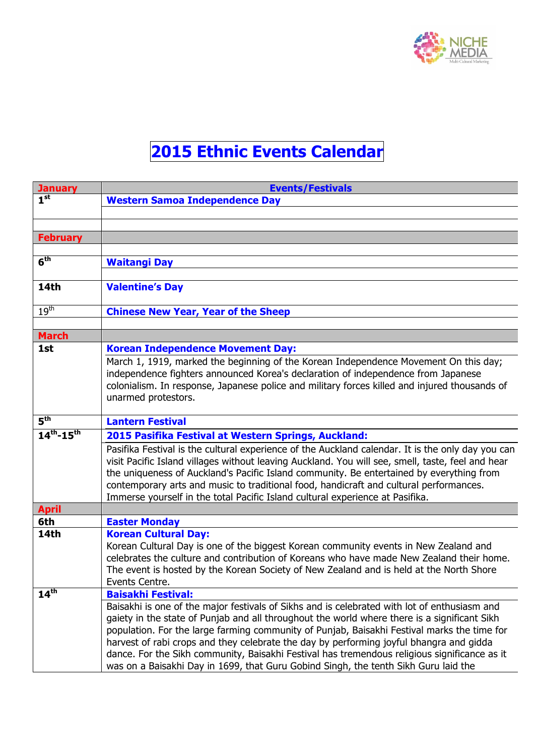

## **2015 Ethnic Events Calendar**

| <b>January</b>       | <b>Events/Festivals</b>                                                                           |
|----------------------|---------------------------------------------------------------------------------------------------|
| 1 <sup>st</sup>      | <b>Western Samoa Independence Day</b>                                                             |
|                      |                                                                                                   |
|                      |                                                                                                   |
| <b>February</b>      |                                                                                                   |
|                      |                                                                                                   |
| 6 <sup>th</sup>      | <b>Waitangi Day</b>                                                                               |
|                      |                                                                                                   |
| <b>14th</b>          | <b>Valentine's Day</b>                                                                            |
| 19 <sup>th</sup>     | <b>Chinese New Year, Year of the Sheep</b>                                                        |
|                      |                                                                                                   |
| <b>March</b>         |                                                                                                   |
| 1st                  | <b>Korean Independence Movement Day:</b>                                                          |
|                      | March 1, 1919, marked the beginning of the Korean Independence Movement On this day;              |
|                      | independence fighters announced Korea's declaration of independence from Japanese                 |
|                      | colonialism. In response, Japanese police and military forces killed and injured thousands of     |
|                      | unarmed protestors.                                                                               |
|                      |                                                                                                   |
| 5 <sup>th</sup>      | <b>Lantern Festival</b>                                                                           |
| $14^{th} - 15^{th}$  | 2015 Pasifika Festival at Western Springs, Auckland:                                              |
|                      | Pasifika Festival is the cultural experience of the Auckland calendar. It is the only day you can |
|                      | visit Pacific Island villages without leaving Auckland. You will see, smell, taste, feel and hear |
|                      | the uniqueness of Auckland's Pacific Island community. Be entertained by everything from          |
|                      | contemporary arts and music to traditional food, handicraft and cultural performances.            |
| <b>April</b>         | Immerse yourself in the total Pacific Island cultural experience at Pasifika.                     |
| 6th                  | <b>Easter Monday</b>                                                                              |
| <b>14th</b>          | <b>Korean Cultural Day:</b>                                                                       |
|                      | Korean Cultural Day is one of the biggest Korean community events in New Zealand and              |
|                      | celebrates the culture and contribution of Koreans who have made New Zealand their home.          |
|                      | The event is hosted by the Korean Society of New Zealand and is held at the North Shore           |
|                      | Events Centre.                                                                                    |
| $14^{\overline{th}}$ | <b>Baisakhi Festival:</b>                                                                         |
|                      | Baisakhi is one of the major festivals of Sikhs and is celebrated with lot of enthusiasm and      |
|                      | gaiety in the state of Punjab and all throughout the world where there is a significant Sikh      |
|                      | population. For the large farming community of Punjab, Baisakhi Festival marks the time for       |
|                      | harvest of rabi crops and they celebrate the day by performing joyful bhangra and gidda           |
|                      | dance. For the Sikh community, Baisakhi Festival has tremendous religious significance as it      |
|                      | was on a Baisakhi Day in 1699, that Guru Gobind Singh, the tenth Sikh Guru laid the               |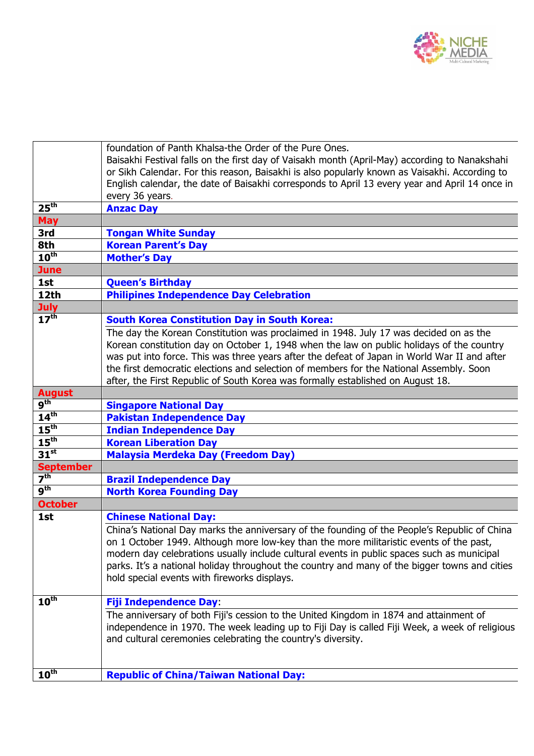

|                      | foundation of Panth Khalsa-the Order of the Pure Ones.<br>Baisakhi Festival falls on the first day of Vaisakh month (April-May) according to Nanakshahi<br>or Sikh Calendar. For this reason, Baisakhi is also popularly known as Vaisakhi. According to<br>English calendar, the date of Baisakhi corresponds to April 13 every year and April 14 once in<br>every 36 years. |
|----------------------|-------------------------------------------------------------------------------------------------------------------------------------------------------------------------------------------------------------------------------------------------------------------------------------------------------------------------------------------------------------------------------|
| 25 <sup>th</sup>     | <b>Anzac Day</b>                                                                                                                                                                                                                                                                                                                                                              |
| <b>May</b>           |                                                                                                                                                                                                                                                                                                                                                                               |
| 3rd                  | <b>Tongan White Sunday</b>                                                                                                                                                                                                                                                                                                                                                    |
| 8th                  | <b>Korean Parent's Day</b>                                                                                                                                                                                                                                                                                                                                                    |
| $10^{\text{th}}$     | <b>Mother's Day</b>                                                                                                                                                                                                                                                                                                                                                           |
| <b>June</b>          |                                                                                                                                                                                                                                                                                                                                                                               |
| 1st                  | <b>Queen's Birthday</b>                                                                                                                                                                                                                                                                                                                                                       |
| 12th                 | <b>Philipines Independence Day Celebration</b>                                                                                                                                                                                                                                                                                                                                |
| <b>July</b>          |                                                                                                                                                                                                                                                                                                                                                                               |
| $17^{\text{th}}$     | <b>South Korea Constitution Day in South Korea:</b>                                                                                                                                                                                                                                                                                                                           |
|                      | The day the Korean Constitution was proclaimed in 1948. July 17 was decided on as the                                                                                                                                                                                                                                                                                         |
|                      | Korean constitution day on October 1, 1948 when the law on public holidays of the country                                                                                                                                                                                                                                                                                     |
|                      | was put into force. This was three years after the defeat of Japan in World War II and after                                                                                                                                                                                                                                                                                  |
|                      | the first democratic elections and selection of members for the National Assembly. Soon                                                                                                                                                                                                                                                                                       |
|                      | after, the First Republic of South Korea was formally established on August 18.                                                                                                                                                                                                                                                                                               |
| <b>August</b>        |                                                                                                                                                                                                                                                                                                                                                                               |
| g <sup>th</sup>      | <b>Singapore National Day</b>                                                                                                                                                                                                                                                                                                                                                 |
| $14^{\text{th}}$     | <b>Pakistan Independence Day</b>                                                                                                                                                                                                                                                                                                                                              |
| 15 <sup>th</sup>     | <b>Indian Independence Day</b>                                                                                                                                                                                                                                                                                                                                                |
| 15 <sup>th</sup>     | <b>Korean Liberation Day</b>                                                                                                                                                                                                                                                                                                                                                  |
| $31^{st}$            | <b>Malaysia Merdeka Day (Freedom Day)</b>                                                                                                                                                                                                                                                                                                                                     |
| <b>September</b>     |                                                                                                                                                                                                                                                                                                                                                                               |
| $\overline{7^{th}}$  | <b>Brazil Independence Day</b>                                                                                                                                                                                                                                                                                                                                                |
| 9 <sup>th</sup>      | <b>North Korea Founding Day</b>                                                                                                                                                                                                                                                                                                                                               |
| <b>October</b>       |                                                                                                                                                                                                                                                                                                                                                                               |
| 1st                  | <b>Chinese National Day:</b>                                                                                                                                                                                                                                                                                                                                                  |
|                      | China's National Day marks the anniversary of the founding of the People's Republic of China                                                                                                                                                                                                                                                                                  |
|                      | on 1 October 1949. Although more low-key than the more militaristic events of the past,                                                                                                                                                                                                                                                                                       |
|                      | modern day celebrations usually include cultural events in public spaces such as municipal                                                                                                                                                                                                                                                                                    |
|                      | parks. It's a national holiday throughout the country and many of the bigger towns and cities                                                                                                                                                                                                                                                                                 |
|                      | hold special events with fireworks displays.                                                                                                                                                                                                                                                                                                                                  |
|                      |                                                                                                                                                                                                                                                                                                                                                                               |
| $10^{\overline{th}}$ | <b>Fiji Independence Day:</b>                                                                                                                                                                                                                                                                                                                                                 |
|                      | The anniversary of both Fiji's cession to the United Kingdom in 1874 and attainment of                                                                                                                                                                                                                                                                                        |
|                      | independence in 1970. The week leading up to Fiji Day is called Fiji Week, a week of religious                                                                                                                                                                                                                                                                                |
|                      | and cultural ceremonies celebrating the country's diversity.                                                                                                                                                                                                                                                                                                                  |
|                      |                                                                                                                                                                                                                                                                                                                                                                               |
|                      |                                                                                                                                                                                                                                                                                                                                                                               |
| $10^{\overline{th}}$ | <b>Republic of China/Taiwan National Day:</b>                                                                                                                                                                                                                                                                                                                                 |